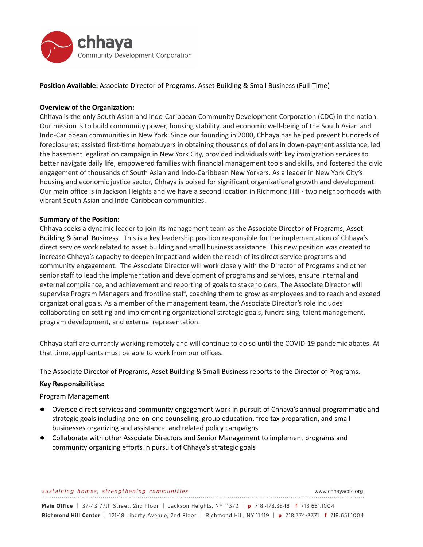

**Position Available:** Associate Director of Programs, Asset Building & Small Business (Full-Time)

# **Overview of the Organization:**

Chhaya is the only South Asian and Indo-Caribbean Community Development Corporation (CDC) in the nation. Our mission is to build community power, housing stability, and economic well-being of the South Asian and Indo-Caribbean communities in New York. Since our founding in 2000, Chhaya has helped prevent hundreds of foreclosures; assisted first-time homebuyers in obtaining thousands of dollars in down-payment assistance, led the basement legalization campaign in New York City, provided individuals with key immigration services to better navigate daily life, empowered families with financial management tools and skills, and fostered the civic engagement of thousands of South Asian and Indo-Caribbean New Yorkers. As a leader in New York City's housing and economic justice sector, Chhaya is poised for significant organizational growth and development. Our main office is in Jackson Heights and we have a second location in Richmond Hill - two neighborhoods with vibrant South Asian and Indo-Caribbean communities.

## **Summary of the Position:**

Chhaya seeks a dynamic leader to join its management team as the Associate Director of Programs, Asset Building & Small Business. This is a key leadership position responsible for the implementation of Chhaya's direct service work related to asset building and small business assistance. This new position was created to increase Chhaya's capacity to deepen impact and widen the reach of its direct service programs and community engagement. The Associate Director will work closely with the Director of Programs and other senior staff to lead the implementation and development of programs and services, ensure internal and external compliance, and achievement and reporting of goals to stakeholders. The Associate Director will supervise Program Managers and frontline staff, coaching them to grow as employees and to reach and exceed organizational goals. As a member of the management team, the Associate Director's role includes collaborating on setting and implementing organizational strategic goals, fundraising, talent management, program development, and external representation.

Chhaya staff are currently working remotely and will continue to do so until the COVID-19 pandemic abates. At that time, applicants must be able to work from our offices.

The Associate Director of Programs, Asset Building & Small Business reports to the Director of Programs.

## **Key Responsibilities:**

Program Management

- Oversee direct services and community engagement work in pursuit of Chhaya's annual programmatic and strategic goals including one-on-one counseling, group education, free tax preparation, and small businesses organizing and assistance, and related policy campaigns
- Collaborate with other Associate Directors and Senior Management to implement programs and community organizing efforts in pursuit of Chhaya's strategic goals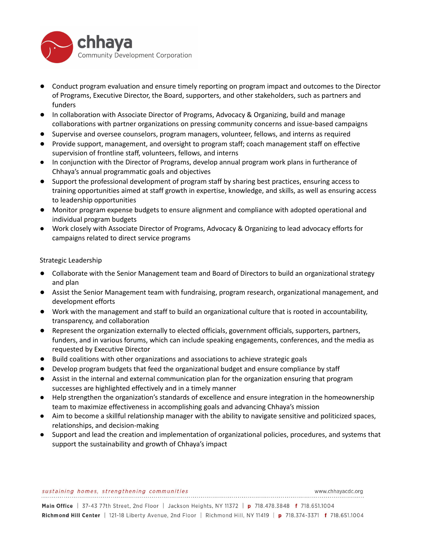

- Conduct program evaluation and ensure timely reporting on program impact and outcomes to the Director of Programs, Executive Director, the Board, supporters, and other stakeholders, such as partners and funders
- In collaboration with Associate Director of Programs, Advocacy & Organizing, build and manage collaborations with partner organizations on pressing community concerns and issue-based campaigns
- Supervise and oversee counselors, program managers, volunteer, fellows, and interns as required
- Provide support, management, and oversight to program staff; coach management staff on effective supervision of frontline staff, volunteers, fellows, and interns
- In conjunction with the Director of Programs, develop annual program work plans in furtherance of Chhaya's annual programmatic goals and objectives
- Support the professional development of program staff by sharing best practices, ensuring access to training opportunities aimed at staff growth in expertise, knowledge, and skills, as well as ensuring access to leadership opportunities
- Monitor program expense budgets to ensure alignment and compliance with adopted operational and individual program budgets
- Work closely with Associate Director of Programs, Advocacy & Organizing to lead advocacy efforts for campaigns related to direct service programs

Strategic Leadership

- Collaborate with the Senior Management team and Board of Directors to build an organizational strategy and plan
- Assist the Senior Management team with fundraising, program research, organizational management, and development efforts
- Work with the management and staff to build an organizational culture that is rooted in accountability, transparency, and collaboration
- Represent the organization externally to elected officials, government officials, supporters, partners, funders, and in various forums, which can include speaking engagements, conferences, and the media as requested by Executive Director
- Build coalitions with other organizations and associations to achieve strategic goals
- Develop program budgets that feed the organizational budget and ensure compliance by staff
- Assist in the internal and external communication plan for the organization ensuring that program successes are highlighted effectively and in a timely manner
- Help strengthen the organization's standards of excellence and ensure integration in the homeownership team to maximize effectiveness in accomplishing goals and advancing Chhaya's mission
- Aim to become a skillful relationship manager with the ability to navigate sensitive and politicized spaces, relationships, and decision-making
- Support and lead the creation and implementation of organizational policies, procedures, and systems that support the sustainability and growth of Chhaya's impact